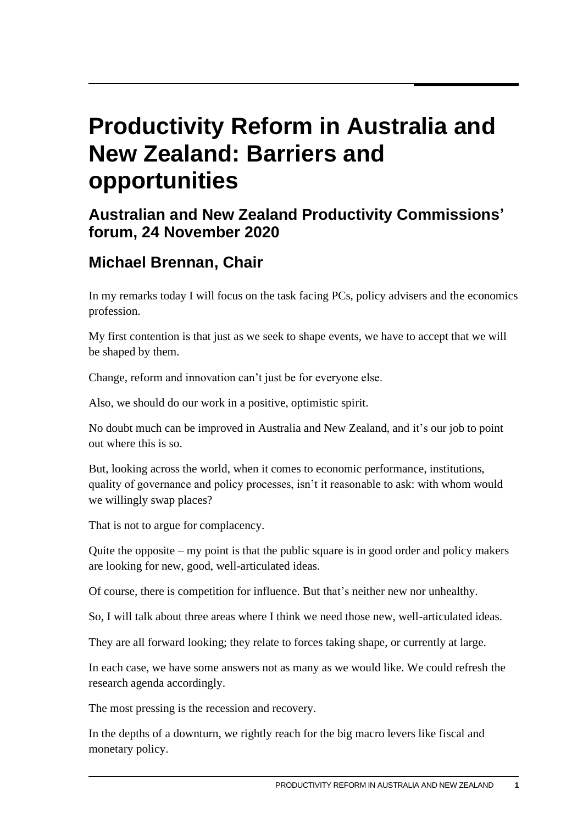## **Productivity Reform in Australia and New Zealand: Barriers and opportunities**

## **Australian and New Zealand Productivity Commissions' forum, 24 November 2020**

## **Michael Brennan, Chair**

In my remarks today I will focus on the task facing PCs, policy advisers and the economics profession.

My first contention is that just as we seek to shape events, we have to accept that we will be shaped by them.

Change, reform and innovation can't just be for everyone else.

Also, we should do our work in a positive, optimistic spirit.

No doubt much can be improved in Australia and New Zealand, and it's our job to point out where this is so.

But, looking across the world, when it comes to economic performance, institutions, quality of governance and policy processes, isn't it reasonable to ask: with whom would we willingly swap places?

That is not to argue for complacency.

Quite the opposite – my point is that the public square is in good order and policy makers are looking for new, good, well-articulated ideas.

Of course, there is competition for influence. But that's neither new nor unhealthy.

So, I will talk about three areas where I think we need those new, well-articulated ideas.

They are all forward looking; they relate to forces taking shape, or currently at large.

In each case, we have some answers not as many as we would like. We could refresh the research agenda accordingly.

The most pressing is the recession and recovery.

In the depths of a downturn, we rightly reach for the big macro levers like fiscal and monetary policy.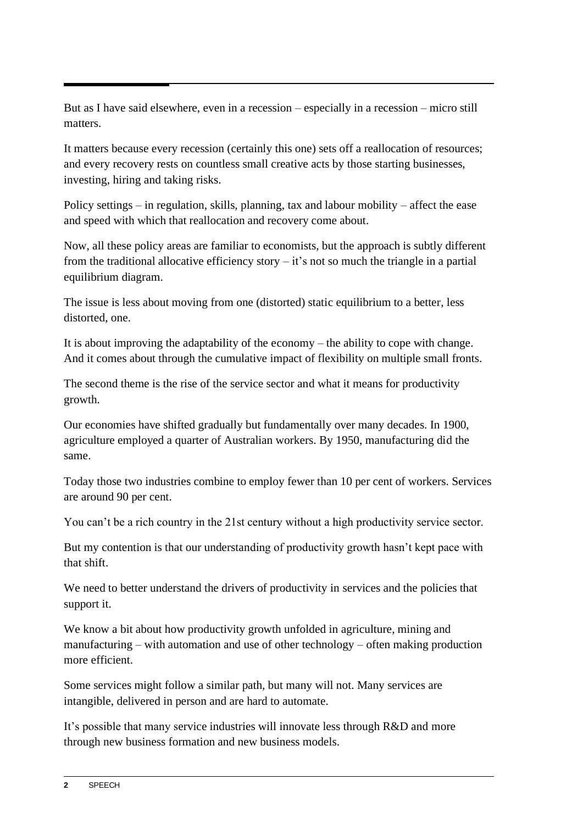But as I have said elsewhere, even in a recession – especially in a recession – micro still matters.

It matters because every recession (certainly this one) sets off a reallocation of resources; and every recovery rests on countless small creative acts by those starting businesses, investing, hiring and taking risks.

Policy settings – in regulation, skills, planning, tax and labour mobility – affect the ease and speed with which that reallocation and recovery come about.

Now, all these policy areas are familiar to economists, but the approach is subtly different from the traditional allocative efficiency story  $-$  it's not so much the triangle in a partial equilibrium diagram.

The issue is less about moving from one (distorted) static equilibrium to a better, less distorted, one.

It is about improving the adaptability of the economy – the ability to cope with change. And it comes about through the cumulative impact of flexibility on multiple small fronts.

The second theme is the rise of the service sector and what it means for productivity growth.

Our economies have shifted gradually but fundamentally over many decades. In 1900, agriculture employed a quarter of Australian workers. By 1950, manufacturing did the same.

Today those two industries combine to employ fewer than 10 per cent of workers. Services are around 90 per cent.

You can't be a rich country in the 21st century without a high productivity service sector.

But my contention is that our understanding of productivity growth hasn't kept pace with that shift.

We need to better understand the drivers of productivity in services and the policies that support it.

We know a bit about how productivity growth unfolded in agriculture, mining and manufacturing – with automation and use of other technology – often making production more efficient.

Some services might follow a similar path, but many will not. Many services are intangible, delivered in person and are hard to automate.

It's possible that many service industries will innovate less through R&D and more through new business formation and new business models.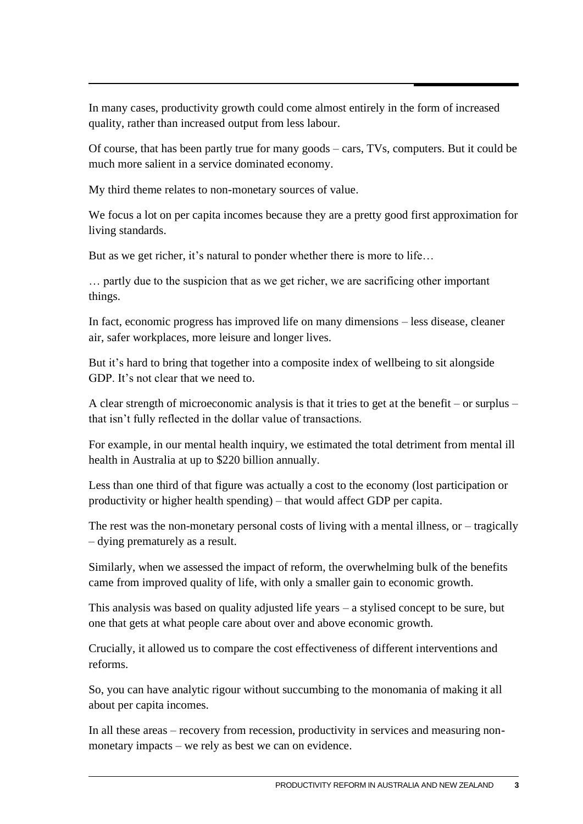In many cases, productivity growth could come almost entirely in the form of increased quality, rather than increased output from less labour.

Of course, that has been partly true for many goods – cars, TVs, computers. But it could be much more salient in a service dominated economy.

My third theme relates to non-monetary sources of value.

We focus a lot on per capita incomes because they are a pretty good first approximation for living standards.

But as we get richer, it's natural to ponder whether there is more to life…

… partly due to the suspicion that as we get richer, we are sacrificing other important things.

In fact, economic progress has improved life on many dimensions – less disease, cleaner air, safer workplaces, more leisure and longer lives.

But it's hard to bring that together into a composite index of wellbeing to sit alongside GDP. It's not clear that we need to.

A clear strength of microeconomic analysis is that it tries to get at the benefit – or surplus – that isn't fully reflected in the dollar value of transactions.

For example, in our mental health inquiry, we estimated the total detriment from mental ill health in Australia at up to \$220 billion annually.

Less than one third of that figure was actually a cost to the economy (lost participation or productivity or higher health spending) – that would affect GDP per capita.

The rest was the non-monetary personal costs of living with a mental illness, or – tragically – dying prematurely as a result.

Similarly, when we assessed the impact of reform, the overwhelming bulk of the benefits came from improved quality of life, with only a smaller gain to economic growth.

This analysis was based on quality adjusted life years – a stylised concept to be sure, but one that gets at what people care about over and above economic growth.

Crucially, it allowed us to compare the cost effectiveness of different interventions and reforms.

So, you can have analytic rigour without succumbing to the monomania of making it all about per capita incomes.

In all these areas – recovery from recession, productivity in services and measuring nonmonetary impacts – we rely as best we can on evidence.